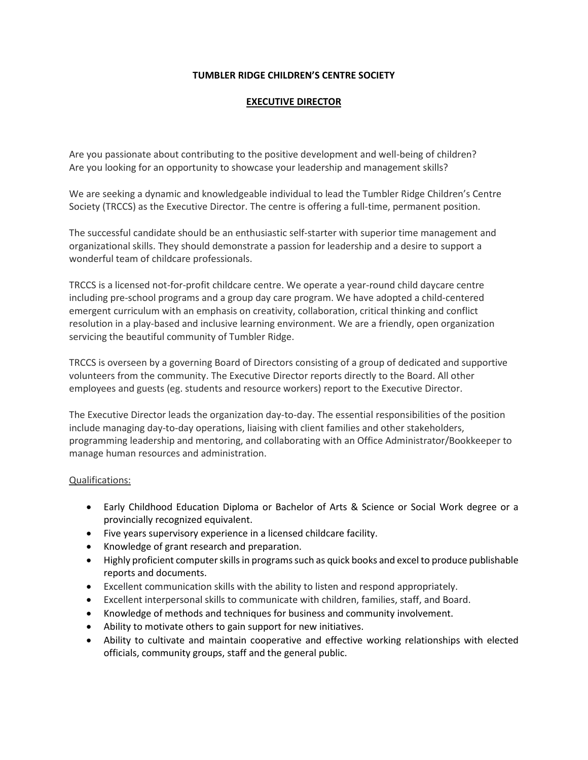#### **TUMBLER RIDGE CHILDREN'S CENTRE SOCIETY**

### **EXECUTIVE DIRECTOR**

Are you passionate about contributing to the positive development and well-being of children? Are you looking for an opportunity to showcase your leadership and management skills?

We are seeking a dynamic and knowledgeable individual to lead the Tumbler Ridge Children's Centre Society (TRCCS) as the Executive Director. The centre is offering a full-time, permanent position.

The successful candidate should be an enthusiastic self-starter with superior time management and organizational skills. They should demonstrate a passion for leadership and a desire to support a wonderful team of childcare professionals.

TRCCS is a licensed not-for-profit childcare centre. We operate a year-round child daycare centre including pre-school programs and a group day care program. We have adopted a child-centered emergent curriculum with an emphasis on creativity, collaboration, critical thinking and conflict resolution in a play-based and inclusive learning environment. We are a friendly, open organization servicing the beautiful community of Tumbler Ridge.

TRCCS is overseen by a governing Board of Directors consisting of a group of dedicated and supportive volunteers from the community. The Executive Director reports directly to the Board. All other employees and guests (eg. students and resource workers) report to the Executive Director.

The Executive Director leads the organization day-to-day. The essential responsibilities of the position include managing day-to-day operations, liaising with client families and other stakeholders, programming leadership and mentoring, and collaborating with an Office Administrator/Bookkeeper to manage human resources and administration.

#### Qualifications:

- Early Childhood Education Diploma or Bachelor of Arts & Science or Social Work degree or a provincially recognized equivalent.
- Five years supervisory experience in a licensed childcare facility.
- Knowledge of grant research and preparation.
- Highly proficient computer skills in programs such as quick books and excel to produce publishable reports and documents.
- Excellent communication skills with the ability to listen and respond appropriately.
- Excellent interpersonal skills to communicate with children, families, staff, and Board.
- Knowledge of methods and techniques for business and community involvement.
- Ability to motivate others to gain support for new initiatives.
- Ability to cultivate and maintain cooperative and effective working relationships with elected officials, community groups, staff and the general public.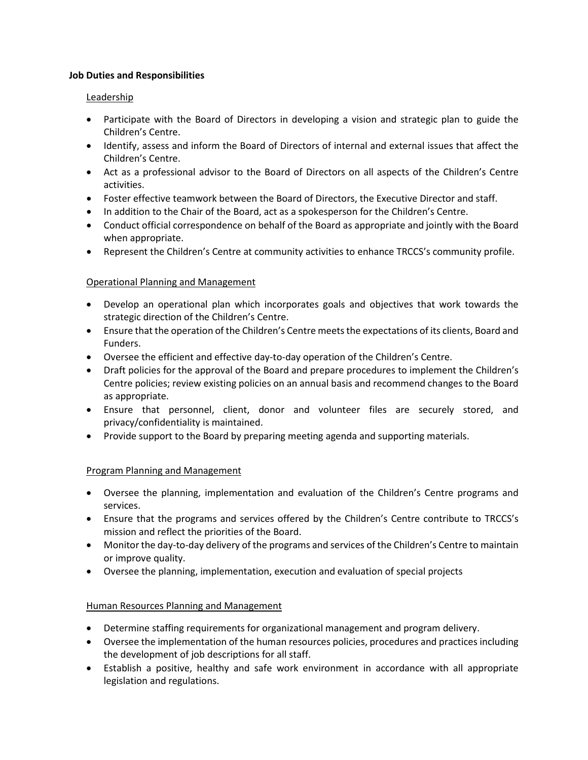#### **Job Duties and Responsibilities**

### Leadership

- Participate with the Board of Directors in developing a vision and strategic plan to guide the Children's Centre.
- Identify, assess and inform the Board of Directors of internal and external issues that affect the Children's Centre.
- Act as a professional advisor to the Board of Directors on all aspects of the Children's Centre activities.
- Foster effective teamwork between the Board of Directors, the Executive Director and staff.
- In addition to the Chair of the Board, act as a spokesperson for the Children's Centre.
- Conduct official correspondence on behalf of the Board as appropriate and jointly with the Board when appropriate.
- Represent the Children's Centre at community activities to enhance TRCCS's community profile.

# Operational Planning and Management

- Develop an operational plan which incorporates goals and objectives that work towards the strategic direction of the Children's Centre.
- Ensure that the operation of the Children's Centre meets the expectations of its clients, Board and Funders.
- Oversee the efficient and effective day-to-day operation of the Children's Centre.
- Draft policies for the approval of the Board and prepare procedures to implement the Children's Centre policies; review existing policies on an annual basis and recommend changes to the Board as appropriate.
- Ensure that personnel, client, donor and volunteer files are securely stored, and privacy/confidentiality is maintained.
- Provide support to the Board by preparing meeting agenda and supporting materials.

# Program Planning and Management

- Oversee the planning, implementation and evaluation of the Children's Centre programs and services.
- Ensure that the programs and services offered by the Children's Centre contribute to TRCCS's mission and reflect the priorities of the Board.
- Monitor the day-to-day delivery of the programs and services of the Children's Centre to maintain or improve quality.
- Oversee the planning, implementation, execution and evaluation of special projects

# Human Resources Planning and Management

- Determine staffing requirements for organizational management and program delivery.
- Oversee the implementation of the human resources policies, procedures and practices including the development of job descriptions for all staff.
- Establish a positive, healthy and safe work environment in accordance with all appropriate legislation and regulations.